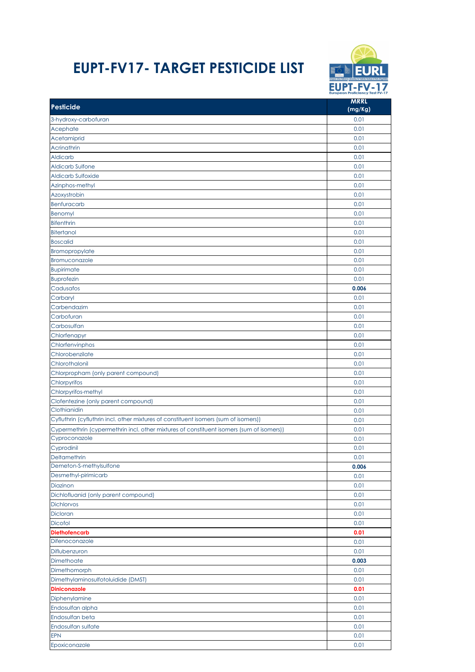## **EUPT-FV17- TARGET PESTICIDE LIST**



| <b>Pesticide</b>                                                                         | <b>MRRL</b><br>(mg/Kg) |
|------------------------------------------------------------------------------------------|------------------------|
| 3-hydroxy-carbofuran                                                                     | 0.01                   |
| Acephate                                                                                 | 0.01                   |
| Acetamiprid                                                                              | 0.01                   |
| Acrinathrin                                                                              | 0.01                   |
| Aldicarb                                                                                 | 0.01                   |
| <b>Aldicarb Sulfone</b>                                                                  | 0.01                   |
| <b>Aldicarb Sulfoxide</b>                                                                | 0.01                   |
| Azinphos-methyl                                                                          | 0.01                   |
| Azoxystrobin                                                                             | 0.01                   |
| <b>Benfuracarb</b>                                                                       | 0.01                   |
|                                                                                          | 0.01                   |
| Benomyl                                                                                  |                        |
| <b>Bifenthrin</b>                                                                        | 0.01                   |
| <b>Bitertanol</b>                                                                        | 0.01                   |
| <b>Boscalid</b>                                                                          | 0.01                   |
| <b>Bromopropylate</b>                                                                    | 0.01                   |
| Bromuconazole                                                                            | 0.01                   |
| <b>Bupirimate</b>                                                                        | 0.01                   |
| <b>Buprofezin</b>                                                                        | 0.01                   |
| Cadusafos                                                                                | 0.006                  |
| Carbaryl                                                                                 | 0.01                   |
| Carbendazim                                                                              | 0.01                   |
| Carbofuran                                                                               | 0.01                   |
| Carbosulfan                                                                              | 0.01                   |
| Chlorfenapyr                                                                             | 0.01                   |
| Chlorfenvinphos                                                                          | 0.01                   |
| Chlorobenzilate                                                                          | 0.01                   |
| Chlorothalonil                                                                           | 0.01                   |
| Chlorpropham (only parent compound)                                                      | 0.01                   |
| Chlorpyrifos                                                                             | 0.01                   |
| Chlorpyrifos-methyl                                                                      | 0.01                   |
| Clofentezine (only parent compound)                                                      | 0.01                   |
| Clothianidin                                                                             | 0.01                   |
| Cyfluthrin (cyfluthrin incl. other mixtures of constituent isomers (sum of isomers))     | 0.01                   |
| Cypermethrin (cypermethrin incl. other mixtures of constituent isomers (sum of isomers)) | 0.01                   |
| Cyproconazole                                                                            | 0.01                   |
| Cyprodinil                                                                               | 0.01                   |
| Deltamethrin                                                                             | 0.01                   |
| Demeton-S-methylsulfone                                                                  | 0.006                  |
| Desmethyl-pirimicarb                                                                     | 0.01                   |
| Diazinon                                                                                 | 0.01                   |
| Dichlofluanid (only parent compound)                                                     | 0.01                   |
| <b>Dichlorvos</b>                                                                        | 0.01                   |
| Dicloran                                                                                 | 0.01                   |
| <b>Dicofol</b>                                                                           | 0.01                   |
| <b>Diethofencarb</b>                                                                     | 0.01                   |
| Difenoconazole                                                                           | 0.01                   |
| Diflubenzuron                                                                            | 0.01                   |
| Dimethoate                                                                               | 0.003                  |
| Dimethomorph                                                                             | 0.01                   |
| Dimethylaminosulfotoluidide (DMST)                                                       | 0.01                   |
| <b>Diniconazole</b>                                                                      | 0.01                   |
| Diphenylamine                                                                            | 0.01                   |
| Endosulfan alpha                                                                         | 0.01                   |
| Endosulfan beta                                                                          | 0.01                   |
| Endosulfan sulfate                                                                       | 0.01                   |
| <b>EPN</b>                                                                               | 0.01                   |
|                                                                                          |                        |
| Epoxiconazole                                                                            | 0.01                   |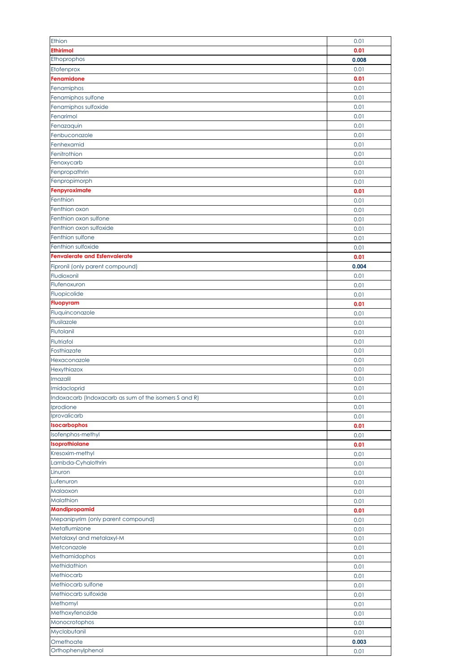| Ethion                                                | 0.01          |
|-------------------------------------------------------|---------------|
| <b>Ethirimol</b>                                      | 0.01          |
| Ethoprophos                                           | 0.008         |
| Etofenprox                                            | 0.01          |
| Fenamidone                                            | 0.01          |
|                                                       |               |
| Fenamiphos                                            | 0.01          |
| Fenamiphos sulfone                                    | 0.01          |
| Fenamiphos sulfoxide                                  | 0.01          |
| Fenarimol                                             | 0.01          |
| Fenazaquin                                            | 0.01          |
| Fenbuconazole                                         | 0.01          |
| Fenhexamid                                            | 0.01          |
| Fenitrothion                                          | 0.01          |
| Fenoxycarb                                            | 0.01          |
| Fenpropathrin                                         | 0.01          |
| Fenpropimorph                                         | 0.01          |
| Fenpyroximate                                         | 0.01          |
| Fenthion                                              | 0.01          |
| Fenthion oxon                                         | 0.01          |
| Fenthion oxon sulfone                                 |               |
| Fenthion oxon sulfoxide                               | 0.01          |
|                                                       | 0.01          |
| Fenthion sulfone                                      | 0.01          |
| Fenthion sulfoxide                                    | 0.01          |
| <b>Fenvalerate and Esfenvalerate</b>                  | 0.01          |
| Fipronil (only parent compound)                       | 0.004         |
| Fludioxonil                                           | 0.01          |
| Flufenoxuron                                          | 0.01          |
| Fluopicolide                                          | 0.01          |
| <b>Fluopyram</b>                                      | 0.01          |
| Fluquinconazole                                       | 0.01          |
| Flusilazole                                           | 0.01          |
| Flutolanil                                            | 0.01          |
| Flutriafol                                            | 0.01          |
| Fosthiazate                                           | 0.01          |
|                                                       |               |
| Hexaconazole                                          | 0.01          |
| Hexythiazox                                           | 0.01          |
| Imazalil                                              | 0.01          |
| Imidacloprid                                          | 0.01          |
| Indoxacarb (Indoxacarb as sum of the isomers S and R) | 0.01          |
| Iprodione                                             | 0.01          |
| Iprovalicarb                                          | 0.01          |
| Isocarbophos                                          | 0.01          |
| Isofenphos-methyl                                     | 0.01          |
| Isoprothiolane                                        | 0.01          |
| Kresoxim-methyl                                       | 0.01          |
| Lambda-Cyhalothrin                                    | 0.01          |
| Linuron                                               | 0.01          |
| Lufenuron                                             | 0.01          |
| Malaoxon                                              | 0.01          |
| Malathion                                             | 0.01          |
| <b>Mandipropamid</b>                                  | 0.01          |
| Mepanipyrim (only parent compound)                    |               |
|                                                       | 0.01          |
| Metaflumizone                                         | 0.01          |
| Metalaxyl and metalaxyl-M                             | 0.01          |
| Metconazole                                           | 0.01          |
| Methamidophos                                         | 0.01          |
| Methidathion                                          | 0.01          |
| Methiocarb                                            | 0.01          |
| Methiocarb sulfone                                    | 0.01          |
|                                                       | 0.01          |
| Methiocarb sulfoxide                                  |               |
| Methomyl                                              | 0.01          |
| Methoxyfenozide                                       | 0.01          |
|                                                       |               |
| Monocrotophos                                         | 0.01          |
| Myclobutanil<br>Omethoate                             | 0.01<br>0.003 |